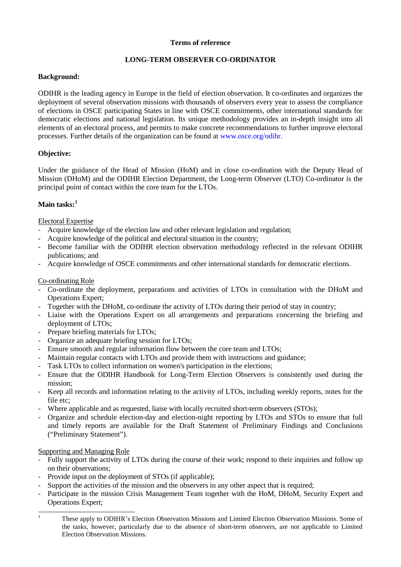#### **Terms of reference**

# **LONG-TERM OBSERVER CO-ORDINATOR**

# **Background:**

ODIHR is the leading agency in Europe in the field of election observation. It co-ordinates and organizes the deployment of several observation missions with thousands of observers every year to assess the compliance of elections in OSCE participating States in line with OSCE commitments, other international standards for democratic elections and national legislation. Its unique methodology provides an in-depth insight into all elements of an electoral process, and permits to make concrete recommendations to further improve electoral processes. Further details of the organization can be found at [www.osce.org/odihr.](http://www.osce.org/odihr)

# **Objective:**

Under the guidance of the Head of Mission (HoM) and in close co-ordination with the Deputy Head of Mission (DHoM) and the ODIHR Election Department, the Long-term Observer (LTO) Co-ordinator is the principal point of contact within the core team for the LTOs.

# **Main tasks: [1](#page-0-0)**

## Electoral Expertise

- Acquire knowledge of the election law and other relevant legislation and regulation;
- Acquire knowledge of the political and electoral situation in the country;
- Become familiar with the ODIHR election observation methodology reflected in the relevant ODIHR publications; and
- Acquire knowledge of OSCE commitments and other international standards for democratic elections.

# Co-ordinating Role

- Co-ordinate the deployment, preparations and activities of LTOs in consultation with the DHoM and Operations Expert;
- Together with the DHoM, co-ordinate the activity of LTOs during their period of stay in country;
- Liaise with the Operations Expert on all arrangements and preparations concerning the briefing and deployment of LTOs;
- Prepare briefing materials for LTOs;
- Organize an adequate briefing session for LTOs;
- Ensure smooth and regular information flow between the core team and LTOs;
- Maintain regular contacts with LTOs and provide them with instructions and guidance;
- Task LTOs to collect information on women's participation in the elections;
- Ensure that the ODIHR Handbook for Long-Term Election Observers is consistently used during the mission;
- Keep all records and information relating to the activity of LTOs, including weekly reports, notes for the file etc;
- Where applicable and as requested, liaise with locally recruited short-term observers (STOs);
- Organize and schedule election-day and election-night reporting by LTOs and STOs to ensure that full and timely reports are available for the Draft Statement of Preliminary Findings and Conclusions ("Preliminary Statement").

## Supporting and Managing Role

- Fully support the activity of LTOs during the course of their work; respond to their inquiries and follow up on their observations;
- Provide input on the deployment of STOs (if applicable);
- Support the activities of the mission and the observers in any other aspect that is required;
- Participate in the mission Crisis Management Team together with the HoM, DHoM, Security Expert and Operations Expert;

<span id="page-0-0"></span><sup>&</sup>lt;sup>1</sup> These apply to ODIHR's Election Observation Missions and Limited Election Observation Missions. Some of the tasks, however, particularly due to the absence of short-term observers, are not applicable to Limited Election Observation Missions.